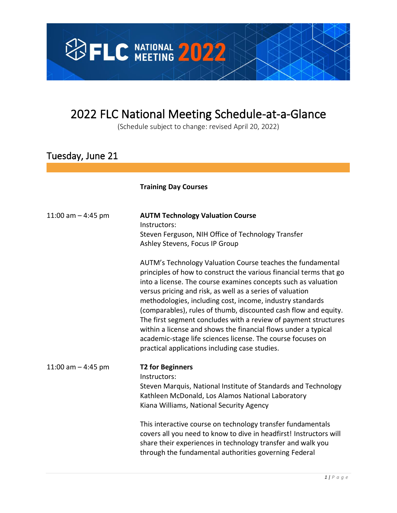

## 2022 FLC National Meeting Schedule-at-a-Glance

(Schedule subject to change: revised April 20, 2022)

## Tuesday, June 21

#### **Training Day Courses**

| 11:00 am $-$ 4:45 pm | <b>AUTM Technology Valuation Course</b><br>Instructors:<br>Steven Ferguson, NIH Office of Technology Transfer<br>Ashley Stevens, Focus IP Group                                                                                                                                                                                                                                                                                                                                                                                                                                                                                                       |
|----------------------|-------------------------------------------------------------------------------------------------------------------------------------------------------------------------------------------------------------------------------------------------------------------------------------------------------------------------------------------------------------------------------------------------------------------------------------------------------------------------------------------------------------------------------------------------------------------------------------------------------------------------------------------------------|
|                      | AUTM's Technology Valuation Course teaches the fundamental<br>principles of how to construct the various financial terms that go<br>into a license. The course examines concepts such as valuation<br>versus pricing and risk, as well as a series of valuation<br>methodologies, including cost, income, industry standards<br>(comparables), rules of thumb, discounted cash flow and equity.<br>The first segment concludes with a review of payment structures<br>within a license and shows the financial flows under a typical<br>academic-stage life sciences license. The course focuses on<br>practical applications including case studies. |
| 11:00 am $-$ 4:45 pm | <b>T2 for Beginners</b><br>Instructors:<br>Steven Marquis, National Institute of Standards and Technology<br>Kathleen McDonald, Los Alamos National Laboratory<br>Kiana Williams, National Security Agency                                                                                                                                                                                                                                                                                                                                                                                                                                            |
|                      | This interactive course on technology transfer fundamentals<br>covers all you need to know to dive in headfirst! Instructors will<br>share their experiences in technology transfer and walk you<br>through the fundamental authorities governing Federal                                                                                                                                                                                                                                                                                                                                                                                             |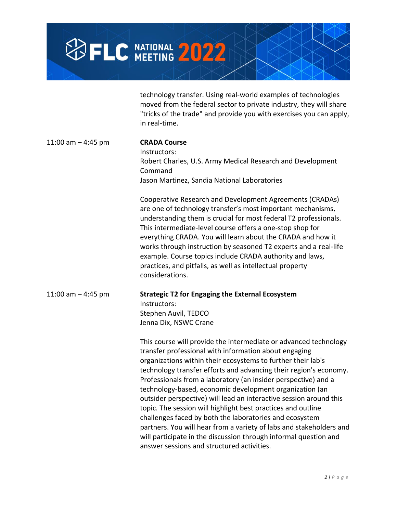

technology transfer. Using real-world examples of technologies moved from the federal sector to private industry, they will share "tricks of the trade" and provide you with exercises you can apply, in real-time.

| 11:00 am $-$ 4:45 pm | <b>CRADA Course</b><br>Instructors:<br>Robert Charles, U.S. Army Medical Research and Development<br>Command<br>Jason Martinez, Sandia National Laboratories                                                                                                                                                                                                                                                                                                                                                                            |
|----------------------|-----------------------------------------------------------------------------------------------------------------------------------------------------------------------------------------------------------------------------------------------------------------------------------------------------------------------------------------------------------------------------------------------------------------------------------------------------------------------------------------------------------------------------------------|
|                      | Cooperative Research and Development Agreements (CRADAs)<br>are one of technology transfer's most important mechanisms,<br>understanding them is crucial for most federal T2 professionals.<br>This intermediate-level course offers a one-stop shop for<br>everything CRADA. You will learn about the CRADA and how it<br>works through instruction by seasoned T2 experts and a real-life<br>example. Course topics include CRADA authority and laws,<br>practices, and pitfalls, as well as intellectual property<br>considerations. |
| 11:00 am $-$ 4:45 pm | <b>Strategic T2 for Engaging the External Ecosystem</b><br>Instructors:<br>Stephen Auvil, TEDCO<br>Jenna Dix, NSWC Crane                                                                                                                                                                                                                                                                                                                                                                                                                |
|                      | This course will provide the intermediate or advanced technology<br>transfer professional with information about engaging<br>organizations within their ecosystems to further their lab's<br>technology transfer efforts and advancing their region's economy.<br>Professionals from a laboratory (an insider perspective) and a<br>technology-based, economic development organization (an<br>outsider perspective) will lead an interactive session around this<br>topic. The session will highlight best practices and outline       |

topic. The session will highlight best practices and outline challenges faced by both the laboratories and ecosystem partners. You will hear from a variety of labs and stakeholders and will participate in the discussion through informal question and answer sessions and structured activities.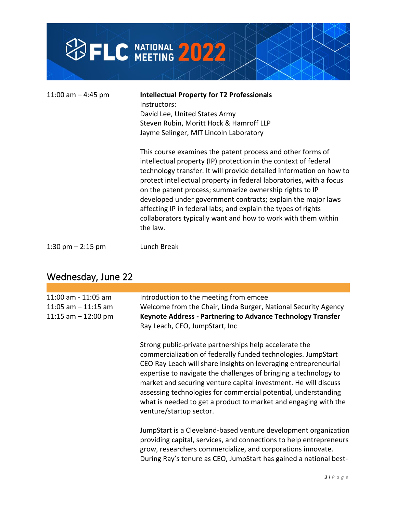

| 11:00 am $-$ 4:45 pm | <b>Intellectual Property for T2 Professionals</b><br>Instructors:<br>David Lee, United States Army<br>Steven Rubin, Moritt Hock & Hamroff LLP<br>Jayme Selinger, MIT Lincoln Laboratory                                                                                                                                                                                                                                                                                                                                                              |
|----------------------|------------------------------------------------------------------------------------------------------------------------------------------------------------------------------------------------------------------------------------------------------------------------------------------------------------------------------------------------------------------------------------------------------------------------------------------------------------------------------------------------------------------------------------------------------|
|                      | This course examines the patent process and other forms of<br>intellectual property (IP) protection in the context of federal<br>technology transfer. It will provide detailed information on how to<br>protect intellectual property in federal laboratories, with a focus<br>on the patent process; summarize ownership rights to IP<br>developed under government contracts; explain the major laws<br>affecting IP in federal labs; and explain the types of rights<br>collaborators typically want and how to work with them within<br>the law. |
| 1:30 pm $-$ 2:15 pm  | Lunch Break                                                                                                                                                                                                                                                                                                                                                                                                                                                                                                                                          |

## Wednesday, June 22

| 11:00 am - 11:05 am<br>11:05 am $-$ 11:15 am<br>11:15 am $-$ 12:00 pm | Introduction to the meeting from emcee<br>Welcome from the Chair, Linda Burger, National Security Agency<br><b>Keynote Address - Partnering to Advance Technology Transfer</b><br>Ray Leach, CEO, JumpStart, Inc                                                                                                                                                                                                                                                                                  |
|-----------------------------------------------------------------------|---------------------------------------------------------------------------------------------------------------------------------------------------------------------------------------------------------------------------------------------------------------------------------------------------------------------------------------------------------------------------------------------------------------------------------------------------------------------------------------------------|
|                                                                       | Strong public-private partnerships help accelerate the<br>commercialization of federally funded technologies. JumpStart<br>CEO Ray Leach will share insights on leveraging entrepreneurial<br>expertise to navigate the challenges of bringing a technology to<br>market and securing venture capital investment. He will discuss<br>assessing technologies for commercial potential, understanding<br>what is needed to get a product to market and engaging with the<br>venture/startup sector. |
|                                                                       | JumpStart is a Cleveland-based venture development organization<br>providing capital, services, and connections to help entrepreneurs<br>grow, researchers commercialize, and corporations innovate.<br>During Ray's tenure as CEO, JumpStart has gained a national best-                                                                                                                                                                                                                         |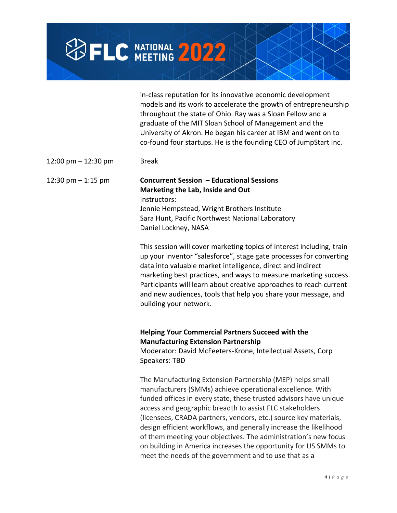# **SFLC NATIONAL 2022**

in-class reputation for its innovative economic development models and its work to accelerate the growth of entrepreneurship throughout the state of Ohio. Ray was a Sloan Fellow and a graduate of the MIT Sloan School of Management and the University of Akron. He began his career at IBM and went on to co-found four startups. He is the founding CEO of JumpStart Inc.

 $12:00 \text{ pm} - 12:30 \text{ pm}$  Break

#### 12:30 pm – 1:15 pm **Concurrent Session – Educational Sessions Marketing the Lab, Inside and Out** Instructors: Jennie Hempstead, Wright Brothers Institute Sara Hunt, Pacific Northwest National Laboratory

Daniel Lockney, NASA

This session will cover marketing topics of interest including, train up your inventor "salesforce", stage gate processes for converting data into valuable market intelligence, direct and indirect marketing best practices, and ways to measure marketing success. Participants will learn about creative approaches to reach current and new audiences, tools that help you share your message, and building your network.

### **Helping Your Commercial Partners Succeed with the Manufacturing Extension Partnership**

Moderator: David McFeeters-Krone, Intellectual Assets, Corp Speakers: TBD

The Manufacturing Extension Partnership (MEP) helps small manufacturers (SMMs) achieve operational excellence. With funded offices in every state, these trusted advisors have unique access and geographic breadth to assist FLC stakeholders (licensees, CRADA partners, vendors, etc.) source key materials, design efficient workflows, and generally increase the likelihood of them meeting your objectives. The administration's new focus on building in America increases the opportunity for US SMMs to meet the needs of the government and to use that as a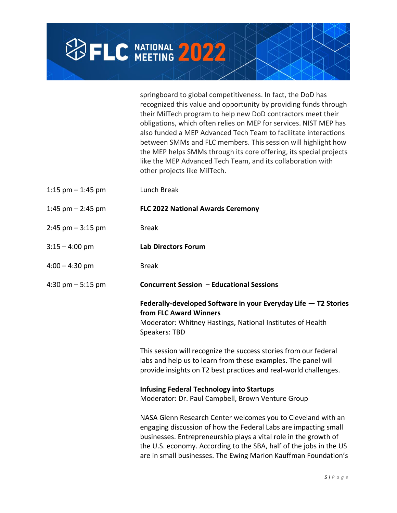

springboard to global competitiveness. In fact, the DoD has recognized this value and opportunity by providing funds through their MilTech program to help new DoD contractors meet their obligations, which often relies on MEP for services. NIST MEP has also funded a MEP Advanced Tech Team to facilitate interactions between SMMs and FLC members. This session will highlight how the MEP helps SMMs through its core offering, its special projects like the MEP Advanced Tech Team, and its collaboration with other projects like MilTech.

| 1:15 $pm - 1:45$ pm  | Lunch Break                                                                                                                                                                                                                                                                                                                                  |
|----------------------|----------------------------------------------------------------------------------------------------------------------------------------------------------------------------------------------------------------------------------------------------------------------------------------------------------------------------------------------|
| 1:45 pm $-$ 2:45 pm  | <b>FLC 2022 National Awards Ceremony</b>                                                                                                                                                                                                                                                                                                     |
| $2:45$ pm $-3:15$ pm | <b>Break</b>                                                                                                                                                                                                                                                                                                                                 |
| $3:15 - 4:00$ pm     | <b>Lab Directors Forum</b>                                                                                                                                                                                                                                                                                                                   |
| $4:00 - 4:30$ pm     | <b>Break</b>                                                                                                                                                                                                                                                                                                                                 |
| 4:30 pm $-$ 5:15 pm  | Concurrent Session - Educational Sessions                                                                                                                                                                                                                                                                                                    |
|                      | Federally-developed Software in your Everyday Life - T2 Stories<br>from FLC Award Winners<br>Moderator: Whitney Hastings, National Institutes of Health<br>Speakers: TBD<br>This session will recognize the success stories from our federal<br>labs and help us to learn from these examples. The panel will                                |
|                      | provide insights on T2 best practices and real-world challenges.                                                                                                                                                                                                                                                                             |
|                      | <b>Infusing Federal Technology into Startups</b><br>Moderator: Dr. Paul Campbell, Brown Venture Group                                                                                                                                                                                                                                        |
|                      | NASA Glenn Research Center welcomes you to Cleveland with an<br>engaging discussion of how the Federal Labs are impacting small<br>businesses. Entrepreneurship plays a vital role in the growth of<br>the U.S. economy. According to the SBA, half of the jobs in the US<br>are in small businesses. The Ewing Marion Kauffman Foundation's |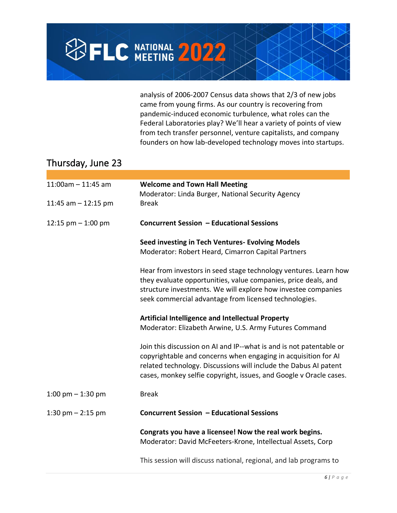

analysis of 2006-2007 Census data shows that 2/3 of new jobs came from young firms. As our country is recovering from pandemic-induced economic turbulence, what roles can the Federal Laboratories play? We'll hear a variety of points of view from tech transfer personnel, venture capitalists, and company founders on how lab-developed technology moves into startups.

## Thursday, June 23

| $11:00$ am - 11:45 am | <b>Welcome and Town Hall Meeting</b><br>Moderator: Linda Burger, National Security Agency                                                                                                                                                                                       |
|-----------------------|---------------------------------------------------------------------------------------------------------------------------------------------------------------------------------------------------------------------------------------------------------------------------------|
| 11:45 am $-$ 12:15 pm | <b>Break</b>                                                                                                                                                                                                                                                                    |
| 12:15 $pm - 1:00$ pm  | <b>Concurrent Session - Educational Sessions</b>                                                                                                                                                                                                                                |
|                       | Seed investing in Tech Ventures- Evolving Models<br>Moderator: Robert Heard, Cimarron Capital Partners                                                                                                                                                                          |
|                       | Hear from investors in seed stage technology ventures. Learn how<br>they evaluate opportunities, value companies, price deals, and<br>structure investments. We will explore how investee companies<br>seek commercial advantage from licensed technologies.                    |
|                       | <b>Artificial Intelligence and Intellectual Property</b><br>Moderator: Elizabeth Arwine, U.S. Army Futures Command                                                                                                                                                              |
|                       | Join this discussion on AI and IP--what is and is not patentable or<br>copyrightable and concerns when engaging in acquisition for AI<br>related technology. Discussions will include the Dabus AI patent<br>cases, monkey selfie copyright, issues, and Google v Oracle cases. |
| 1:00 pm $-$ 1:30 pm   | <b>Break</b>                                                                                                                                                                                                                                                                    |
| 1:30 pm $-$ 2:15 pm   | Concurrent Session - Educational Sessions                                                                                                                                                                                                                                       |
|                       | Congrats you have a licensee! Now the real work begins.<br>Moderator: David McFeeters-Krone, Intellectual Assets, Corp                                                                                                                                                          |
|                       | This session will discuss national, regional, and lab programs to                                                                                                                                                                                                               |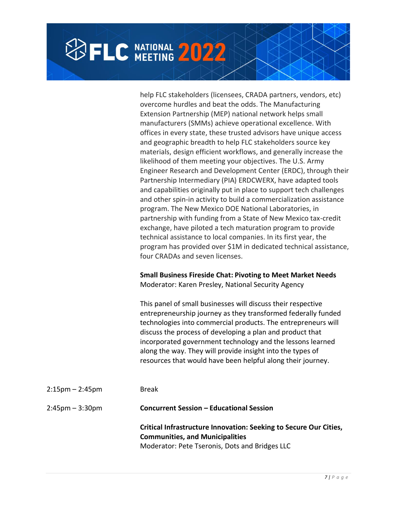## **BELC NATIONAL 2022**

help FLC stakeholders (licensees, CRADA partners, vendors, etc) overcome hurdles and beat the odds. The Manufacturing Extension Partnership (MEP) national network helps small manufacturers (SMMs) achieve operational excellence. With offices in every state, these trusted advisors have unique access and geographic breadth to help FLC stakeholders source key materials, design efficient workflows, and generally increase the likelihood of them meeting your objectives. The U.S. Army Engineer Research and Development Center (ERDC), through their Partnership Intermediary (PIA) ERDCWERX, have adapted tools and capabilities originally put in place to support tech challenges and other spin-in activity to build a commercialization assistance program. The New Mexico DOE National Laboratories, in partnership with funding from a State of New Mexico tax-credit exchange, have piloted a tech maturation program to provide technical assistance to local companies. In its first year, the program has provided over \$1M in dedicated technical assistance, four CRADAs and seven licenses.

#### **Small Business Fireside Chat: Pivoting to Meet Market Needs** Moderator: Karen Presley, National Security Agency

This panel of small businesses will discuss their respective entrepreneurship journey as they transformed federally funded technologies into commercial products. The entrepreneurs will discuss the process of developing a plan and product that incorporated government technology and the lessons learned along the way. They will provide insight into the types of resources that would have been helpful along their journey.

| $2:15 \text{pm} - 2:45 \text{pm}$ | <b>Break</b>                                                                                                                                                  |
|-----------------------------------|---------------------------------------------------------------------------------------------------------------------------------------------------------------|
| $2:45 \text{pm} - 3:30 \text{pm}$ | <b>Concurrent Session - Educational Session</b>                                                                                                               |
|                                   | Critical Infrastructure Innovation: Seeking to Secure Our Cities,<br><b>Communities, and Municipalities</b><br>Moderator: Pete Tseronis, Dots and Bridges LLC |